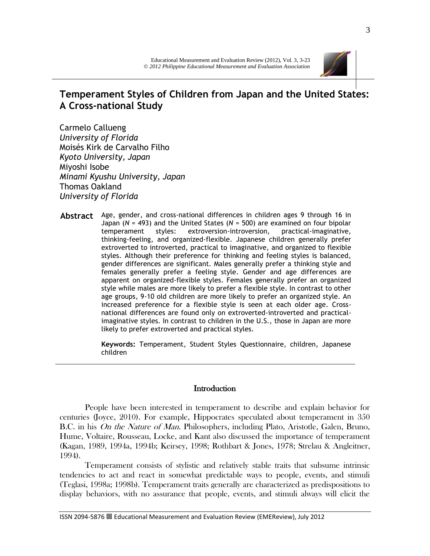

# **Temperament Styles of Children from Japan and the United States: A Cross-national Study**

Carmelo Callueng *University of Florida* Moisés Kirk de Carvalho Filho *Kyoto University, Japan* Miyoshi Isobe *Minami Kyushu University, Japan* Thomas Oakland *University of Florida*

**Abstract** Age, gender, and cross-national differences in children ages 9 through 16 in Japan (*N* = 493) and the United States (*N* = 500) are examined on four bipolar temperament styles: extroversion-introversion, practical-imaginative, thinking-feeling, and organized-flexible. Japanese children generally prefer extroverted to introverted, practical to imaginative, and organized to flexible styles. Although their preference for thinking and feeling styles is balanced, gender differences are significant. Males generally prefer a thinking style and females generally prefer a feeling style. Gender and age differences are apparent on organized-flexible styles. Females generally prefer an organized style while males are more likely to prefer a flexible style. In contrast to other age groups, 9-10 old children are more likely to prefer an organized style. An increased preference for a flexible style is seen at each older age. Crossnational differences are found only on extroverted-introverted and practicalimaginative styles. In contrast to children in the U.S., those in Japan are more likely to prefer extroverted and practical styles.

> **Keywords:** Temperament, Student Styles Questionnaire, children, Japanese children

# **Introduction**

People have been interested in temperament to describe and explain behavior for centuries (Joyce, 2010). For example, Hippocrates speculated about temperament in 350 B.C. in his On the Nature of Man. Philosophers, including Plato, Aristotle, Galen, Bruno, Hume, Voltaire, Rousseau, Locke, and Kant also discussed the importance of temperament (Kagan, 1989, 1994a, 1994b; Keirsey, 1998; Rothbart & Jones, 1978; Strelau & Angleitner, 1994).

Temperament consists of stylistic and relatively stable traits that subsume intrinsic tendencies to act and react in somewhat predictable ways to people, events, and stimuli (Teglasi, 1998a; 1998b). Temperament traits generally are characterized as predispositions to display behaviors, with no assurance that people, events, and stimuli always will elicit the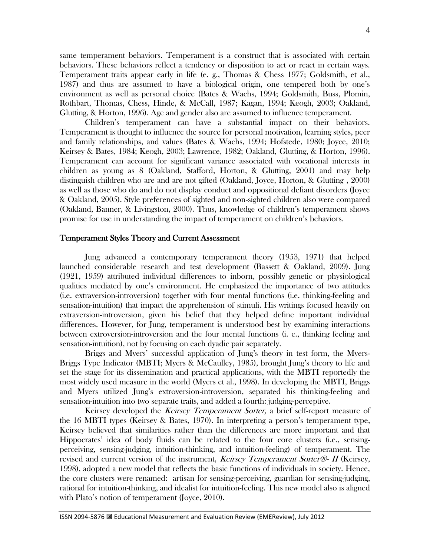same temperament behaviors. Temperament is a construct that is associated with certain behaviors. These behaviors reflect a tendency or disposition to act or react in certain ways. Temperament traits appear early in life (e. g., Thomas & Chess 1977; Goldsmith, et al., 1987) and thus are assumed to have a biological origin, one tempered both by one's environment as well as personal choice (Bates & Wachs, 1994; Goldsmith, Buss, Plomin, Rothbart, Thomas, Chess, Hinde, & McCall, 1987; Kagan, 1994; Keogh, 2003; Oakland, Glutting, & Horton, 1996). Age and gender also are assumed to influence temperament.

Children's temperament can have a substantial impact on their behaviors. Temperament is thought to influence the source for personal motivation, learning styles, peer and family relationships, and values (Bates & Wachs, 1994; Hofstede, 1980; Joyce, 2010; Keirsey & Bates, 1984; Keogh, 2003; Lawrence, 1982; Oakland, Glutting, & Horton, 1996). Temperament can account for significant variance associated with vocational interests in children as young as 8 (Oakland, Stafford, Horton, & Glutting, 2001) and may help distinguish children who are and are not gifted (Oakland, Joyce, Horton, & Glutting , 2000) as well as those who do and do not display conduct and oppositional defiant disorders (Joyce & Oakland, 2005). Style preferences of sighted and non-sighted children also were compared (Oakland, Banner, & Livingston, 2000). Thus, knowledge of children's temperament shows promise for use in understanding the impact of temperament on children's behaviors.

#### Temperament Styles Theory and Current Assessment

Jung advanced a contemporary temperament theory (1953, 1971) that helped launched considerable research and test development (Bassett & Oakland, 2009). Jung (1921, 1959) attributed individual differences to inborn, possibly genetic or physiological qualities mediated by one's environment. He emphasized the importance of two attitudes (i.e. extraversion-introversion) together with four mental functions (i.e. thinking-feeling and sensation-intuition) that impact the apprehension of stimuli. His writings focused heavily on extraversion-introversion, given his belief that they helped define important individual differences. However, for Jung, temperament is understood best by examining interactions between extroversion-introversion and the four mental functions (i. e., thinking feeling and sensation-intuition), not by focusing on each dyadic pair separately.

Briggs and Myers' successful application of Jung's theory in test form, the Myers-Briggs Type Indicator (MBTI; Myers & McCaulley, 1985), brought Jung's theory to life and set the stage for its dissemination and practical applications, with the MBTI reportedly the most widely used measure in the world (Myers et al., 1998). In developing the MBTI, Briggs and Myers utilized Jung's extroversion-introversion, separated his thinking-feeling and sensation-intuition into two separate traits, and added a fourth: judging-perceptive.

Keirsey developed the *Keirsey Temperament Sorter*, a brief self-report measure of the 16 MBTI types (Keirsey & Bates, 1970). In interpreting a person's temperament type, Keirsey believed that similarities rather than the differences are more important and that Hippocrates' idea of body fluids can be related to the four core clusters (i.e., sensingperceiving, sensing-judging, intuition-thinking, and intuition-feeling) of temperament. The revised and current version of the instrument, Keirsey Temperament Sorter®- II (Keirsey, 1998), adopted a new model that reflects the basic functions of individuals in society. Hence, the core clusters were renamed: artisan for sensing-perceiving, guardian for sensing-judging, rational for intuition-thinking, and idealist for intuition-feeling. This new model also is aligned with Plato's notion of temperament (Joyce, 2010).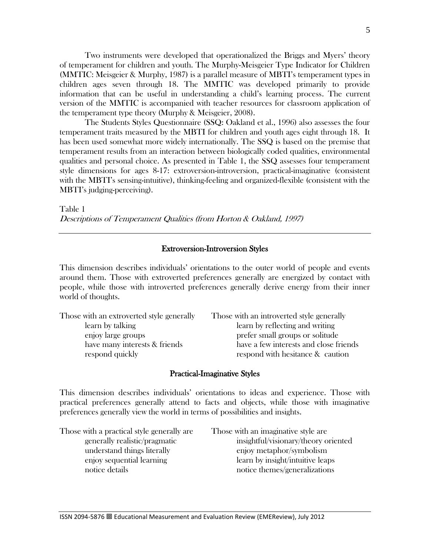Two instruments were developed that operationalized the Briggs and Myers' theory of temperament for children and youth. The Murphy-Meisgeier Type Indicator for Children (MMTIC: Meisgeier & Murphy, 1987) is a parallel measure of MBTI's temperament types in children ages seven through 18. The MMTIC was developed primarily to provide information that can be useful in understanding a child's learning process. The current version of the MMTIC is accompanied with teacher resources for classroom application of the temperament type theory (Murphy & Meisgeier, 2008).

The Students Styles Questionnaire (SSQ: Oakland et al., 1996) also assesses the four temperament traits measured by the MBTI for children and youth ages eight through 18. It has been used somewhat more widely internationally. The SSQ is based on the premise that temperament results from an interaction between biologically coded qualities, environmental qualities and personal choice. As presented in Table 1, the SSQ assesses four temperament style dimensions for ages 8-17: extroversion-introversion, practical-imaginative (consistent with the MBTI's sensing-intuitive), thinking-feeling and organized-flexible (consistent with the MBTI's judging-perceiving).

Table 1 Descriptions of Temperament Qualities (from Horton & Oakland, 1997)

## Extroversion-Introversion Styles

This dimension describes individuals' orientations to the outer world of people and events around them. Those with extroverted preferences generally are energized by contact with people, while those with introverted preferences generally derive energy from their inner world of thoughts.

| Those with an extroverted style generally        | Those with an introverted style generally                                  |
|--------------------------------------------------|----------------------------------------------------------------------------|
| learn by talking                                 | learn by reflecting and writing                                            |
| enjoy large groups                               | prefer small groups or solitude                                            |
| have many interests & friends<br>respond quickly | have a few interests and close friends<br>respond with hesitance & caution |
|                                                  |                                                                            |

## Practical-Imaginative Styles

This dimension describes individuals' orientations to ideas and experience. Those with practical preferences generally attend to facts and objects, while those with imaginative preferences generally view the world in terms of possibilities and insights.

Those with a practical style generally are Those with an imaginative style are

generally realistic/pragmatic insightful/visionary/theory oriented understand things literally enjoy metaphor/symbolism enjoy sequential learning learn by insight/intuitive leaps notice details notice themes/generalizations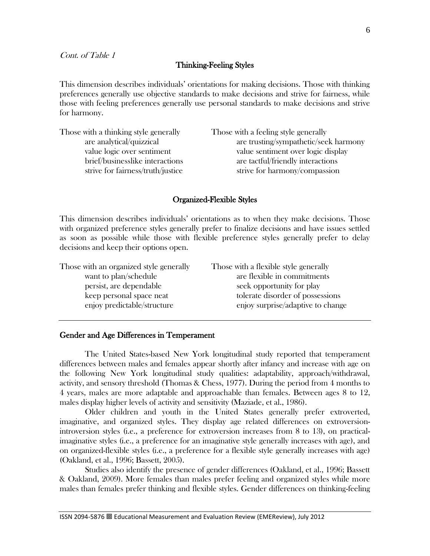## Thinking-Feeling Styles

This dimension describes individuals' orientations for making decisions. Those with thinking preferences generally use objective standards to make decisions and strive for fairness, while those with feeling preferences generally use personal standards to make decisions and strive for harmony.

| Those with a thinking style generally                                | Those with a feeling style generally                               |
|----------------------------------------------------------------------|--------------------------------------------------------------------|
| are analytical/quizzical                                             | are trusting/sympathetic/seek harmony                              |
| value logic over sentiment                                           | value sentiment over logic display                                 |
| brief/businesslike interactions<br>strive for fairness/truth/justice | are tactful/friendly interactions<br>strive for harmony/compassion |
|                                                                      |                                                                    |

## Organized-Flexible Styles

This dimension describes individuals' orientations as to when they make decisions. Those with organized preference styles generally prefer to finalize decisions and have issues settled as soon as possible while those with flexible preference styles generally prefer to delay decisions and keep their options open.

| Those with an organized style generally                 | Those with a flexible style generally                                 |
|---------------------------------------------------------|-----------------------------------------------------------------------|
| want to plan/schedule                                   | are flexible in commitments                                           |
| persist, are dependable                                 | seek opportunity for play                                             |
| keep personal space neat<br>enjoy predictable/structure | tolerate disorder of possessions<br>enjoy surprise/adaptive to change |

## Gender and Age Differences in Temperament

The United States-based New York longitudinal study reported that temperament differences between males and females appear shortly after infancy and increase with age on the following New York longitudinal study qualities: adaptability, approach/withdrawal, activity, and sensory threshold (Thomas & Chess, 1977). During the period from 4 months to 4 years, males are more adaptable and approachable than females. Between ages 8 to 12, males display higher levels of activity and sensitivity (Maziade, et al., 1986).

Older children and youth in the United States generally prefer extroverted, imaginative, and organized styles. They display age related differences on extroversionintroversion styles (i.e., a preference for extroversion increases from 8 to 13), on practicalimaginative styles (i.e., a preference for an imaginative style generally increases with age), and on organized-flexible styles (i.e., a preference for a flexible style generally increases with age) (Oakland, et al., 1996; Bassett, 2005).

Studies also identify the presence of gender differences (Oakland, et al., 1996; Bassett & Oakland, 2009). More females than males prefer feeling and organized styles while more males than females prefer thinking and flexible styles. Gender differences on thinking-feeling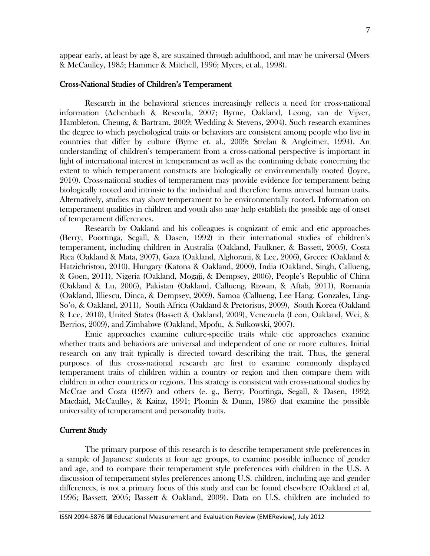appear early, at least by age 8, are sustained through adulthood, and may be universal (Myers & McCaulley, 1985; Hammer & Mitchell, 1996; Myers, et al., 1998).

#### Cross-National Studies of Children's Temperament

 Research in the behavioral sciences increasingly reflects a need for cross-national information (Achenbach & Rescorla, 2007; Byrne, Oakland, Leong, van de Vijver, Hambleton, Cheung, & Bartram, 2009; Wedding & Stevens, 2004). Such research examines the degree to which psychological traits or behaviors are consistent among people who live in countries that differ by culture (Byrne et. al., 2009; Strelau & Angleitner, 1994). An understanding of children's temperament from a cross-national perspective is important in light of international interest in temperament as well as the continuing debate concerning the extent to which temperament constructs are biologically or environmentally rooted (Joyce, 2010). Cross-national studies of temperament may provide evidence for temperament being biologically rooted and intrinsic to the individual and therefore forms universal human traits. Alternatively, studies may show temperament to be environmentally rooted. Information on temperament qualities in children and youth also may help establish the possible age of onset of temperament differences.

Research by Oakland and his colleagues is cognizant of emic and etic approaches (Berry, Poortinga, Segall, & Dasen, 1992) in their international studies of children's temperament, including children in Australia (Oakland, Faulkner, & Bassett, 2005), Costa Rica (Oakland & Mata, 2007), Gaza (Oakland, Alghorani, & Lee, 2006), Greece (Oakland & Hatzichristou, 2010), Hungary (Katona & Oakland, 2000), India (Oakland, Singh, Callueng, & Goen, 2011), Nigeria (Oakland, Mogaji, & Dempsey, 2006), People's Republic of China (Oakland & Lu, 2006), Pakistan (Oakland, Callueng, Rizwan, & Aftab, 2011), Romania (Oakland, Illiescu, Dinca, & Dempsey, 2009), Samoa (Callueng, Lee Hang, Gonzales, Ling-So'o, & Oakland, 2011), South Africa (Oakland & Pretorisus, 2009), South Korea (Oakland & Lee, 2010), United States (Bassett & Oakland, 2009), Venezuela (Leon, Oakland, Wei, & Berrios, 2009), and Zimbabwe (Oakland, Mpofu, & Sulkowski, 2007).

Emic approaches examine culture-specific traits while etic approaches examine whether traits and behaviors are universal and independent of one or more cultures. Initial research on any trait typically is directed toward describing the trait. Thus, the general purposes of this cross-national research are first to examine commonly displayed temperament traits of children within a country or region and then compare them with children in other countries or regions. This strategy is consistent with cross-national studies by McCrae and Costa (1997) and others (e. g., Berry, Poortinga, Segall, & Dasen, 1992; Macdaid, McCaulley, & Kainz, 1991; Plomin & Dunn, 1986) that examine the possible universality of temperament and personality traits.

## Current Study

The primary purpose of this research is to describe temperament style preferences in a sample of Japanese students at four age groups, to examine possible influence of gender and age, and to compare their temperament style preferences with children in the U.S. A discussion of temperament styles preferences among U.S. children, including age and gender differences, is not a primary focus of this study and can be found elsewhere (Oakland et al, 1996; Bassett, 2005; Bassett & Oakland, 2009). Data on U.S. children are included to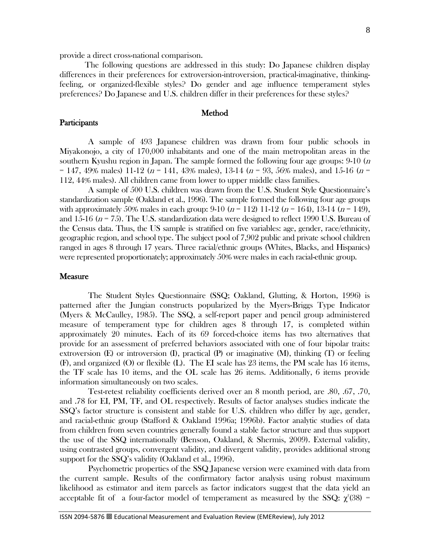provide a direct cross-national comparison.

The following questions are addressed in this study: Do Japanese children display differences in their preferences for extroversion-introversion, practical-imaginative, thinkingfeeling, or organized-flexible styles? Do gender and age influence temperament styles preferences? Do Japanese and U.S. children differ in their preferences for these styles?

# Method

#### **Participants**

A sample of 493 Japanese children was drawn from four public schools in Miyakonojo, a city of 170,000 inhabitants and one of the main metropolitan areas in the southern Kyushu region in Japan. The sample formed the following four age groups:  $9-10$  (*n* = 147, 49% males) 11-12 ( $n = 141$ , 43% males), 13-14 ( $n = 93$ , 56% males), and 15-16 ( $n =$ 112, 44% males). All children came from lower to upper middle class families.

A sample of 500 U.S. children was drawn from the U.S. Student Style Questionnaire's standardization sample (Oakland et al., 1996). The sample formed the following four age groups with approximately 50% males in each group: 9-10  $(n = 112)$  11-12  $(n = 164)$ , 13-14  $(n = 149)$ , and 15-16 ( $n = 75$ ). The U.S. standardization data were designed to reflect 1990 U.S. Bureau of the Census data. Thus, the US sample is stratified on five variables: age, gender, race/ethnicity, geographic region, and school type. The subject pool of 7,902 public and private school children ranged in ages 8 through 17 years. Three racial/ethnic groups (Whites, Blacks, and Hispanics) were represented proportionately; approximately 50% were males in each racial-ethnic group.

#### Measure

The Student Styles Questionnaire (SSQ; Oakland, Glutting, & Horton, 1996) is patterned after the Jungian constructs popularized by the Myers-Briggs Type Indicator (Myers & McCaulley, 1985). The SSQ, a self-report paper and pencil group administered measure of temperament type for children ages 8 through 17, is completed within approximately 20 minutes. Each of its 69 forced-choice items has two alternatives that provide for an assessment of preferred behaviors associated with one of four bipolar traits: extroversion (E) or introversion (I), practical (P) or imaginative  $(M)$ , thinking  $(T)$  or feeling (F), and organized (O) or flexible (L). The EI scale has 23 items, the PM scale has 16 items, the TF scale has 10 items, and the OL scale has 26 items. Additionally, 6 items provide information simultaneously on two scales.

Test-retest reliability coefficients derived over an 8 month period, are .80, .67, .70, and .78 for EI, PM, TF, and OL respectively. Results of factor analyses studies indicate the SSQ's factor structure is consistent and stable for U.S. children who differ by age, gender, and racial-ethnic group (Stafford & Oakland 1996a; 1996b). Factor analytic studies of data from children from seven countries generally found a stable factor structure and thus support the use of the SSQ internationally (Benson, Oakland, & Shermis, 2009). External validity, using contrasted groups, convergent validity, and divergent validity, provides additional strong support for the SSQ's validity (Oakland et al., 1996).

Psychometric properties of the SSQ Japanese version were examined with data from the current sample. Results of the confirmatory factor analysis using robust maximum likelihood as estimator and item parcels as factor indicators suggest that the data yield an acceptable fit of a four-factor model of temperament as measured by the SSQ:  $\chi^2(38)$  =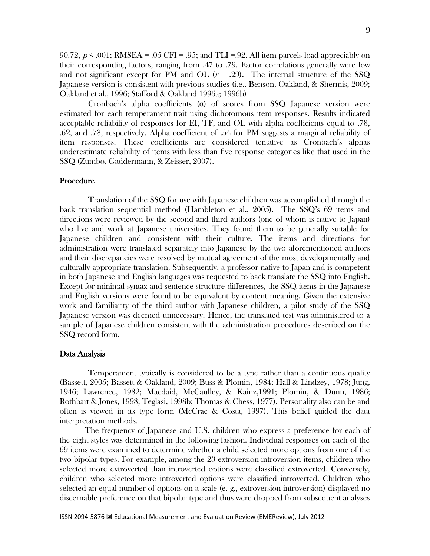90.72,  $p \le 0.001$ ; RMSEA =  $0.05$  CFI =  $0.95$ ; and TLI = 0.92. All item parcels load appreciably on their corresponding factors, ranging from .47 to .79. Factor correlations generally were low and not significant except for PM and OL  $(r = .29)$ . The internal structure of the SSQ Japanese version is consistent with previous studies (i.e., Benson, Oakland, & Shermis, 2009; Oakland et al., 1996; Stafford & Oakland 1996a; 1996b)

Cronbach's alpha coefficients  $\alpha$  of scores from SSQ Japanese version were estimated for each temperament trait using dichotomous item responses. Results indicated acceptable reliability of responses for EI, TF, and OL with alpha coefficients equal to .78, .62, and .73, respectively. Alpha coefficient of .54 for PM suggests a marginal reliability of item responses. These coefficients are considered tentative as Cronbach's alphas underestimate reliability of items with less than five response categories like that used in the SSQ (Zumbo, Gaddermann, & Zeisser, 2007).

## Procedure

Translation of the SSQ for use with Japanese children was accomplished through the back translation sequential method (Hambleton et al., 2005). The SSQ's 69 items and directions were reviewed by the second and third authors (one of whom is native to Japan) who live and work at Japanese universities. They found them to be generally suitable for Japanese children and consistent with their culture. The items and directions for administration were translated separately into Japanese by the two aforementioned authors and their discrepancies were resolved by mutual agreement of the most developmentally and culturally appropriate translation. Subsequently, a professor native to Japan and is competent in both Japanese and English languages was requested to back translate the SSQ into English. Except for minimal syntax and sentence structure differences, the SSQ items in the Japanese and English versions were found to be equivalent by content meaning. Given the extensive work and familiarity of the third author with Japanese children, a pilot study of the SSQ Japanese version was deemed unnecessary. Hence, the translated test was administered to a sample of Japanese children consistent with the administration procedures described on the SSQ record form.

#### Data Analysis

Temperament typically is considered to be a type rather than a continuous quality (Bassett, 2005; Bassett & Oakland, 2009; Buss & Plomin, 1984; Hall & Lindzey, 1978; Jung, 1946; Lawrence, 1982; Macdaid, McCaulley, & Kainz,1991; Plomin, & Dunn, 1986; Rothbart & Jones, 1998; Teglasi, 1998b; Thomas & Chess, 1977). Personality also can be and often is viewed in its type form (McCrae & Costa, 1997). This belief guided the data interpretation methods.

The frequency of Japanese and U.S. children who express a preference for each of the eight styles was determined in the following fashion. Individual responses on each of the 69 items were examined to determine whether a child selected more options from one of the two bipolar types. For example, among the 23 extroversion-introversion items, children who selected more extroverted than introverted options were classified extroverted. Conversely, children who selected more introverted options were classified introverted. Children who selected an equal number of options on a scale (e. g., extroversion-introversion) displayed no discernable preference on that bipolar type and thus were dropped from subsequent analyses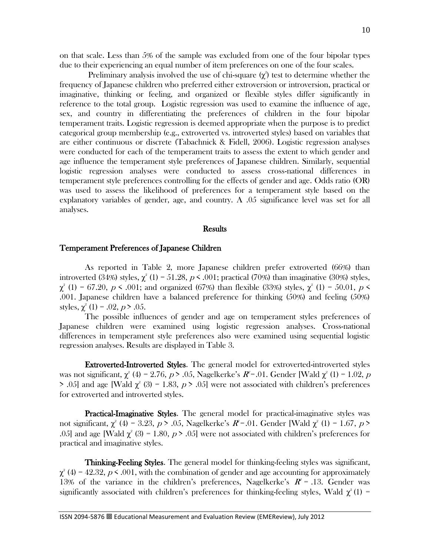on that scale. Less than 5% of the sample was excluded from one of the four bipolar types due to their experiencing an equal number of item preferences on one of the four scales.

Preliminary analysis involved the use of chi-square  $(\chi^2)$  test to determine whether the frequency of Japanese children who preferred either extroversion or introversion, practical or imaginative, thinking or feeling, and organized or flexible styles differ significantly in reference to the total group. Logistic regression was used to examine the influence of age, sex, and country in differentiating the preferences of children in the four bipolar temperament traits. Logistic regression is deemed appropriate when the purpose is to predict categorical group membership (e.g., extroverted vs. introverted styles) based on variables that are either continuous or discrete (Tabachnick & Fidell, 2006). Logistic regression analyses were conducted for each of the temperament traits to assess the extent to which gender and age influence the temperament style preferences of Japanese children. Similarly, sequential logistic regression analyses were conducted to assess cross-national differences in temperament style preferences controlling for the effects of gender and age. Odds ratio (OR) was used to assess the likelihood of preferences for a temperament style based on the explanatory variables of gender, age, and country. A .05 significance level was set for all analyses.

## **Results**

#### Temperament Preferences of Japanese Children

As reported in Table 2, more Japanese children prefer extroverted (66%) than introverted (34%) styles,  $\chi^2$  (1) = 51.28, p < .001; practical (70%) than imaginative (30%) styles,  $\chi^2$  (1) = 67.20, p < .001; and organized (67%) than flexible (33%) styles,  $\chi^2$  (1) = 50.01, p < .001. Japanese children have a balanced preference for thinking (50%) and feeling (50%) styles,  $\chi^2$  (1) = .02,  $p > .05$ .

The possible influences of gender and age on temperament styles preferences of Japanese children were examined using logistic regression analyses. Cross-national differences in temperament style preferences also were examined using sequential logistic regression analyses. Results are displayed in Table 3.

Extroverted-Introverted Styles. The general model for extroverted-introverted styles was not significant,  $\chi^2$  (4) = 2.76,  $p > .05$ , Nagelkerke's  $R^e$ =.01. Gender [Wald  $\chi^2$  (1) = 1.02,  $p$ > .05] and age [Wald  $\chi^2$  (3) = 1.83, *p* > .05] were not associated with children's preferences for extroverted and introverted styles.

Practical-Imaginative Styles. The general model for practical-imaginative styles was not significant,  $\chi^2$  (4) = 3.23, p > .05, Nagelkerke's  $R^2$ =.01. Gender [Wald  $\chi^2$  (1) = 1.67, p > .05] and age [Wald  $\chi^2$  (3) = 1.80, p > .05] were not associated with children's preferences for practical and imaginative styles.

Thinking-Feeling Styles. The general model for thinking-feeling styles was significant,  $\chi^2$  (4) = 42.32, p < .001, with the combination of gender and age accounting for approximately 13% of the variance in the children's preferences, Nagelkerke's  $R^2 = .13$ . Gender was significantly associated with children's preferences for thinking-feeling styles, Wald  $\chi^2(1)$  =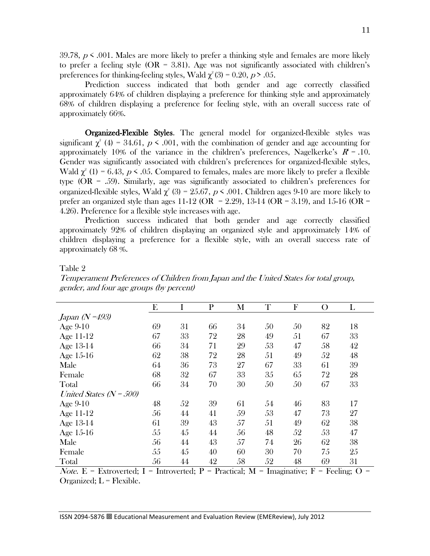$39.78$ ,  $p \leq .001$ . Males are more likely to prefer a thinking style and females are more likely to prefer a feeling style  $(OR = 3.81)$ . Age was not significantly associated with children's preferences for thinking-feeling styles, Wald  $\chi^2(3) = 0.20$ ,  $p > .05$ .

Prediction success indicated that both gender and age correctly classified approximately 64% of children displaying a preference for thinking style and approximately 68% of children displaying a preference for feeling style, with an overall success rate of approximately 66%.

 Organized-Flexible Styles. The general model for organized-flexible styles was significant  $\chi^2$  (4) = 34.61,  $p \le 0.001$ , with the combination of gender and age accounting for approximately 10% of the variance in the children's preferences, Nagelkerke's  $R^2 = .10$ . Gender was significantly associated with children's preferences for organized-flexible styles, Wald  $\chi^2$  (1) = 6.43, p < .05. Compared to females, males are more likely to prefer a flexible type  $(OR = .59)$ . Similarly, age was significantly associated to children's preferences for organized-flexible styles, Wald  $\chi^2$  (3) = 25.67, p < .001. Children ages 9-10 are more likely to prefer an organized style than ages 11-12 (OR = 2.29), 13-14 (OR = 3.19), and 15-16 (OR = 4.26). Preference for a flexible style increases with age.

Prediction success indicated that both gender and age correctly classified approximately 92% of children displaying an organized style and approximately 14% of children displaying a preference for a flexible style, with an overall success rate of approximately 68 %.

|--|--|

|                           | E  | I  | $\mathbf{P}$ | M  | T  | F  | O  | L  |
|---------------------------|----|----|--------------|----|----|----|----|----|
| Japan (N = 493)           |    |    |              |    |    |    |    |    |
| Age 9-10                  | 69 | 31 | 66           | 34 | 50 | 50 | 82 | 18 |
| Age 11-12                 | 67 | 33 | 72           | 28 | 49 | 51 | 67 | 33 |
| Age 13-14                 | 66 | 34 | 71           | 29 | 53 | 47 | 58 | 42 |
| Age 15-16                 | 62 | 38 | 72           | 28 | 51 | 49 | 52 | 48 |
| Male                      | 64 | 36 | 73           | 27 | 67 | 33 | 61 | 39 |
| Female                    | 68 | 32 | 67           | 33 | 35 | 65 | 72 | 28 |
| Total                     | 66 | 34 | 70           | 30 | 50 | 50 | 67 | 33 |
| United States $(N - 500)$ |    |    |              |    |    |    |    |    |
| Age 9-10                  | 48 | 52 | 39           | 61 | 54 | 46 | 83 | 17 |
| Age 11-12                 | 56 | 44 | 41           | 59 | 53 | 47 | 73 | 27 |
| Age 13-14                 | 61 | 39 | 43           | 57 | 51 | 49 | 62 | 38 |
| Age 15-16                 | 55 | 45 | 44           | 56 | 48 | 52 | 53 | 47 |
| Male                      | 56 | 44 | 43           | 57 | 74 | 26 | 62 | 38 |
| Female                    | 55 | 45 | 40           | 60 | 30 | 70 | 75 | 25 |
| Total                     | 56 | 44 | 42           | 58 | 52 | 48 | 69 | 31 |

Temperament Preferences of Children from Japan and the United States for total group, gender, and four age groups (by percent)

Note. E = Extroverted; I = Introverted; P = Practical; M = Imaginative; F = Feeling; O = Organized;  $L =$  Flexible.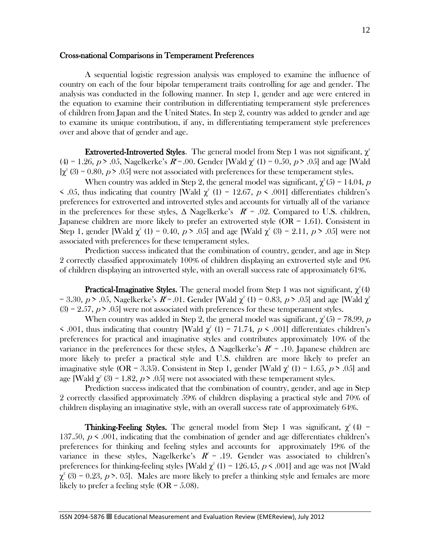## Cross-national Comparisons in Temperament Preferences

A sequential logistic regression analysis was employed to examine the influence of country on each of the four bipolar temperament traits controlling for age and gender. The analysis was conducted in the following manner. In step 1, gender and age were entered in the equation to examine their contribution in differentiating temperament style preferences of children from Japan and the United States. In step 2, country was added to gender and age to examine its unique contribution, if any, in differentiating temperament style preferences over and above that of gender and age.

**Extroverted-Introverted Styles.** The general model from Step 1 was not significant,  $\chi^2$ (4) = 1.26,  $p > .05$ , Nagelkerke's  $R^2 = .00$ . Gender [Wald  $\chi^2$  (1) = 0.50,  $p > .05$ ] and age [Wald  $[\chi^2(3) = 0.80, p > .05]$  were not associated with preferences for these temperament styles.

When country was added in Step 2, the general model was significant,  $\chi^2(5) = 14.04$ ,  $p$  $\leq$  .05, thus indicating that country [Wald  $\chi^2$  (1) = 12.67, p  $\leq$  .001] differentiates children's preferences for extroverted and introverted styles and accounts for virtually all of the variance in the preferences for these styles,  $\Delta$  Nagelkerke's  $R^2 = .02$ . Compared to U.S. children, Japanese children are more likely to prefer an extroverted style (OR = 1.61). Consistent in Step 1, gender [Wald  $\chi^2$  (1) = 0.40, p > .05] and age [Wald  $\chi^2$  (3) = 2.11, p > .05] were not associated with preferences for these temperament styles.

Prediction success indicated that the combination of country, gender, and age in Step 2 correctly classified approximately 100% of children displaying an extroverted style and 0% of children displaying an introverted style, with an overall success rate of approximately 61%.

**Practical-Imaginative Styles.** The general model from Step 1 was not significant,  $\chi^2(4)$ = 3.30, p > .05, Nagelkerke's  $R^2$ =.01. Gender [Wald  $\chi^2$  (1) = 0.83, p > .05] and age [Wald  $\chi^2$  $(3) = 2.57$ ,  $p > .05$  were not associated with preferences for these temperament styles.

When country was added in Step 2, the general model was significant,  $\chi^2(5) = 78.99$ , p  $\leq$  .001, thus indicating that country [Wald  $\chi^2$  (1) = 71.74, p  $\leq$  .001] differentiates children's preferences for practical and imaginative styles and contributes approximately 10% of the variance in the preferences for these styles,  $\Delta$  Nagelkerke's  $R^e$  = .10. Japanese children are more likely to prefer a practical style and U.S. children are more likely to prefer an imaginative style (OR = 3.35). Consistent in Step 1, gender [Wald  $\chi^2$  (1) = 1.65, p > .05] and age [Wald  $\chi^2$  (3) = 1.82,  $p > .05$ ] were not associated with these temperament styles.

Prediction success indicated that the combination of country, gender, and age in Step 2 correctly classified approximately 59% of children displaying a practical style and 70% of children displaying an imaginative style, with an overall success rate of approximately 64%.

**Thinking-Feeling Styles.** The general model from Step 1 was significant,  $\chi^2(4)$  = 137.50,  $p \leq 0.001$ , indicating that the combination of gender and age differentiates children's preferences for thinking and feeling styles and accounts for approximately 19% of the variance in these styles, Nagelkerke's  $R^2 = .19$ . Gender was associated to children's preferences for thinking-feeling styles [Wald  $\chi^2$  (1) = 126.45, p < .001] and age was not [Wald  $\chi^2$  (3) = 0.23, p >. 05]. Males are more likely to prefer a thinking style and females are more likely to prefer a feeling style  $(OR = 5.08)$ .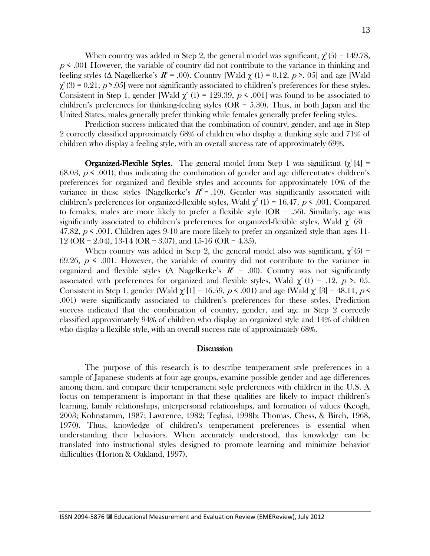When country was added in Step 2, the general model was significant,  $\chi^2(5) = 149.78$ ,  $p \leq 0.001$  However, the variable of country did not contribute to the variance in thinking and feeling styles (Δ Nagelkerke's  $R^e$  = .00). Country [Wald  $\chi^2(1)$  = 0.12, p > .05] and age [Wald  $\chi^2(3) = 0.21$ ,  $p > 0.05$ ] were not significantly associated to children's preferences for these styles. Consistent in Step 1, gender [Wald  $\chi^2$  (1) = 129.39, p < .001] was found to be associated to children's preferences for thinking-feeling styles ( $OR = 5.30$ ). Thus, in both Japan and the United States, males generally prefer thinking while females generally prefer feeling styles.

Prediction success indicated that the combination of country, gender, and age in Step 2 correctly classified approximately 68% of children who display a thinking style and 71% of children who display a feeling style, with an overall success rate of approximately 69%.

**Organized-Flexible Styles.** The general model from Step 1 was significant  $(\chi^2[4])$ 68.03,  $p \leq 0.001$ , thus indicating the combination of gender and age differentiates children's preferences for organized and flexible styles and accounts for approximately 10% of the variance in these styles (Nagelkerke's  $R^2 = .10$ ). Gender was significantly associated with children's preferences for organized-flexible styles, Wald  $\chi^2$  (1) = 16.47, p < .001. Compared to females, males are more likely to prefer a flexible style  $(OR = .56)$ . Similarly, age was significantly associated to children's preferences for organized-flexible styles, Wald  $\chi^2$  (3) = 47.82,  $p \leq 0.001$ . Children ages 9-10 are more likely to prefer an organized style than ages 11- $12$  (OR = 2.04), 13-14 (OR = 3.07), and 15-16 (OR = 4.35).

When country was added in Step 2, the general model also was significant,  $\chi^2(5)$  = 69.26,  $p \le 0.001$ . However, the variable of country did not contribute to the variance in organized and flexible styles ( $\Delta$  Nagelkerke's  $R^2 = .00$ ). Country was not significantly associated with preferences for organized and flexible styles, Wald  $\chi^2(1) = .12$ ,  $p > .05$ . Consistent in Step 1, gender (Wald  $\chi^2[1] = 16.59$ ,  $p \le 0.001$ ) and age (Wald  $\chi^2[3] = 48.11$ ,  $p \le$ .001) were significantly associated to children's preferences for these styles. Prediction success indicated that the combination of country, gender, and age in Step 2 correctly classified approximately 94% of children who display an organized style and 14% of children who display a flexible style, with an overall success rate of approximately 68%.

## **Discussion**

The purpose of this research is to describe temperament style preferences in a sample of Japanese students at four age groups, examine possible gender and age differences among them, and compare their temperament style preferences with children in the U.S. A focus on temperament is important in that these qualities are likely to impact children's learning, family relationships, interpersonal relationships, and formation of values (Keogh, 2003; Kohnstamm, 1987; Lawrence, 1982; Teglasi, 1998b; Thomas, Chess, & Birch, 1968, 1970). Thus, knowledge of children's temperament preferences is essential when understanding their behaviors. When accurately understood, this knowledge can be translated into instructional styles designed to promote learning and minimize behavior difficulties (Horton & Oakland, 1997).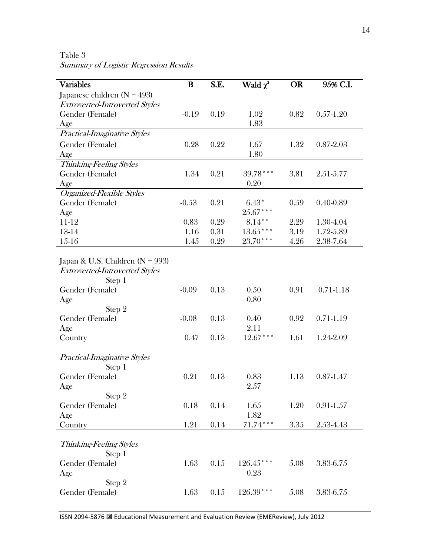Table 3

Summary of Logistic Regression Results

| <b>Variables</b>                      | B       | S.E. | Wald $\chi^2$ | <b>OR</b> | 95% C.I.      |
|---------------------------------------|---------|------|---------------|-----------|---------------|
| Japanese children ( $N = 493$ )       |         |      |               |           |               |
| <b>Extroverted-Introverted Styles</b> |         |      |               |           |               |
| Gender (Female)                       | $-0.19$ | 0.19 | 1.02          | 0.82      | $0.57 - 1.20$ |
| Age                                   |         |      | 1.83          |           |               |
| Practical-Imaginative Styles          |         |      |               |           |               |
| Gender (Female)                       | 0.28    | 0.22 | 1.67          | 1.32      | $0.87 - 2.03$ |
| Age                                   |         |      | 1.80          |           |               |
| Thinking-Feeling Styles               |         |      |               |           |               |
| Gender (Female)                       | 1.34    | 0.21 | $39.78***$    | 3.81      | 2.51-5.77     |
| Age                                   |         |      | 0.20          |           |               |
| Organized-Flexible Styles             |         |      |               |           |               |
| Gender (Female)                       | $-0.53$ | 0.21 | $6.43*$       | 0.59      | $0.40 - 0.89$ |
| Age                                   |         |      | $25.67***$    |           |               |
| 11-12                                 | 0.83    | 0.29 | $8.14***$     | 2.29      | 1.30-4.04     |
| 13-14                                 | 1.16    | 0.31 | $13.65***$    | 3.19      | 1.72-5.89     |
| 15-16                                 | 1.45    | 0.29 | $23.70***$    | 4.26      | 2.38-7.64     |
|                                       |         |      |               |           |               |
| Japan & U.S. Children ( $N = 993$ )   |         |      |               |           |               |
| <b>Extroverted-Introverted Styles</b> |         |      |               |           |               |
| Step 1<br>Gender (Female)             | $-0.09$ | 0.13 | 0.50          | 0.91      | $0.71 - 1.18$ |
| Age                                   |         |      | 0.80          |           |               |
| Step 2                                |         |      |               |           |               |
| Gender (Female)                       | $-0.08$ | 0.13 | 0.40          | 0.92      | $0.71 - 1.19$ |
| Age                                   |         |      | 2.11          |           |               |
| Country                               | 0.47    | 0.13 | $12.67***$    | 1.61      | 1.24-2.09     |
|                                       |         |      |               |           |               |
| Practical-Imaginative Styles          |         |      |               |           |               |
| Step 1                                |         |      |               |           |               |
| Gender (Female)                       | 0.21    | 0.13 | 0.83          | 1.13      | $0.87 - 1.47$ |
| Age                                   |         |      | 2.57          |           |               |
| Step 2                                |         |      |               |           |               |
| Gender (Female)                       | 0.18    | 0.14 | 1.65          | 1.20      | $0.91 - 1.57$ |
| Age                                   |         |      | 1.82          |           |               |
| Country                               | 1.21    | 0.14 | $71.74***$    | 3.35      | 2.53-4.43     |
|                                       |         |      |               |           |               |
| Thinking-Feeling Styles               |         |      |               |           |               |
| Step 1                                |         |      |               |           |               |
| Gender (Female)                       | 1.63    | 0.15 | $126.45***$   | 5.08      | 3.83-6.75     |
| Age                                   |         |      | 0.23          |           |               |
| Step 2                                |         |      |               |           |               |
| Gender (Female)                       | 1.63    | 0.15 | $126.39***$   | 5.08      | 3.83-6.75     |
|                                       |         |      |               |           |               |

14

ISSN 2094-5876 Educational Measurement and Evaluation Review (EMEReview), July 2012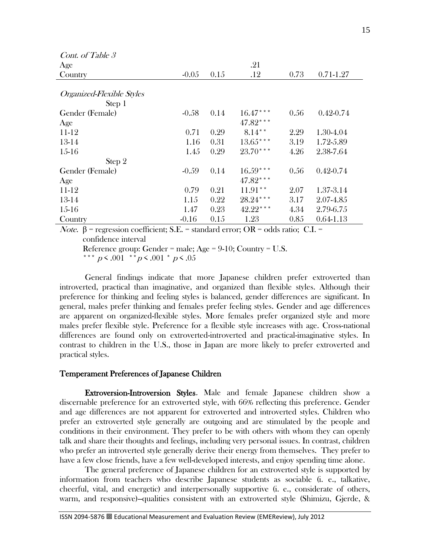| Cont. of Table 3          |         |      |            |      |               |
|---------------------------|---------|------|------------|------|---------------|
| Age                       |         |      | .21        |      |               |
| Country                   | $-0.05$ | 0.15 | .12        | 0.73 | $0.71 - 1.27$ |
|                           |         |      |            |      |               |
| Organized-Flexible Styles |         |      |            |      |               |
| Step 1                    |         |      |            |      |               |
| Gender (Female)           | $-0.58$ | 0.14 | $16.47***$ | 0.56 | $0.42 - 0.74$ |
| Age                       |         |      | $47.82***$ |      |               |
| 11-12                     | 0.71    | 0.29 | $8.14***$  | 2.29 | 1.30-4.04     |
| 13-14                     | 1.16    | 0.31 | $13.65***$ | 3.19 | 1.72-5.89     |
| $15-16$                   | 1.45    | 0.29 | $23.70***$ | 4.26 | 2.38-7.64     |
| Step 2                    |         |      |            |      |               |
| Gender (Female)           | $-0.59$ | 0.14 | $16.59***$ | 0.56 | $0.42 - 0.74$ |
| Age                       |         |      | 47.82***   |      |               |
| 11-12                     | 0.79    | 0.21 | $11.91**$  | 2.07 | 1.37-3.14     |
| 13-14                     | 1.15    | 0.22 | $28.24***$ | 3.17 | 2.07-4.85     |
| $15-16$                   | 1.47    | 0.23 | 42.22***   | 4.34 | 2.79-6.75     |
| Country                   | $-0.16$ | 0.15 | 1.23       | 0.85 | $0.64 - 1.13$ |

Note. β = regression coefficient; S.E. = standard error; OR = odds ratio; C.I. = confidence interval

Reference group: Gender = male; Age = 9-10; Country = U.S.

\*\*\*  $p \le 0.001$  \*\* $p \le 0.001$  \*  $p \le 0.05$ 

General findings indicate that more Japanese children prefer extroverted than introverted, practical than imaginative, and organized than flexible styles. Although their preference for thinking and feeling styles is balanced, gender differences are significant. In general, males prefer thinking and females prefer feeling styles. Gender and age differences are apparent on organized-flexible styles. More females prefer organized style and more males prefer flexible style. Preference for a flexible style increases with age. Cross-national differences are found only on extroverted-introverted and practical-imaginative styles. In contrast to children in the U.S., those in Japan are more likely to prefer extroverted and practical styles.

## Temperament Preferences of Japanese Children

 Extroversion-Introversion Styles. Male and female Japanese children show a discernable preference for an extroverted style, with 66% reflecting this preference. Gender and age differences are not apparent for extroverted and introverted styles. Children who prefer an extroverted style generally are outgoing and are stimulated by the people and conditions in their environment. They prefer to be with others with whom they can openly talk and share their thoughts and feelings, including very personal issues. In contrast, children who prefer an introverted style generally derive their energy from themselves. They prefer to have a few close friends, have a few well-developed interests, and enjoy spending time alone.

The general preference of Japanese children for an extroverted style is supported by information from teachers who describe Japanese students as sociable (i. e., talkative, cheerful, vital, and energetic) and interpersonally supportive (i. e., considerate of others, warm, and responsive)--qualities consistent with an extroverted style (Shimizu, Gjerde, &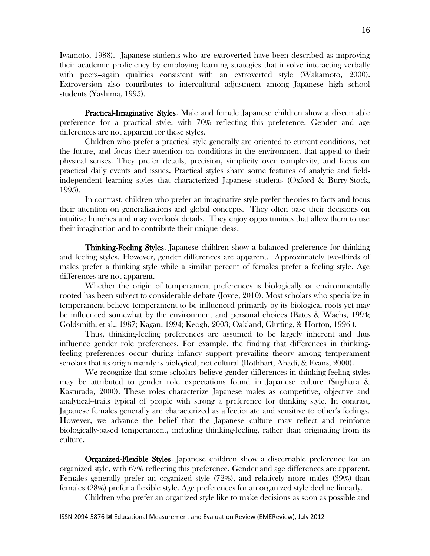Iwamoto, 1988). Japanese students who are extroverted have been described as improving their academic proficiency by employing learning strategies that involve interacting verbally with peers--again qualities consistent with an extroverted style (Wakamoto, 2000). Extroversion also contributes to intercultural adjustment among Japanese high school students (Yashima, 1995).

Practical-Imaginative Styles. Male and female Japanese children show a discernable preference for a practical style, with 70% reflecting this preference. Gender and age differences are not apparent for these styles.

Children who prefer a practical style generally are oriented to current conditions, not the future, and focus their attention on conditions in the environment that appeal to their physical senses. They prefer details, precision, simplicity over complexity, and focus on practical daily events and issues. Practical styles share some features of analytic and fieldindependent learning styles that characterized Japanese students (Oxford & Burry-Stock, 1995).

In contrast, children who prefer an imaginative style prefer theories to facts and focus their attention on generalizations and global concepts. They often base their decisions on intuitive hunches and may overlook details. They enjoy opportunities that allow them to use their imagination and to contribute their unique ideas.

Thinking-Feeling Styles. Japanese children show a balanced preference for thinking and feeling styles. However, gender differences are apparent. Approximately two-thirds of males prefer a thinking style while a similar percent of females prefer a feeling style. Age differences are not apparent.

Whether the origin of temperament preferences is biologically or environmentally rooted has been subject to considerable debate (Joyce, 2010). Most scholars who specialize in temperament believe temperament to be influenced primarily by its biological roots yet may be influenced somewhat by the environment and personal choices (Bates & Wachs, 1994; Goldsmith, et al., 1987; Kagan, 1994; Keogh, 2003; Oakland, Glutting, & Horton, 1996 ).

Thus, thinking-feeling preferences are assumed to be largely inherent and thus influence gender role preferences. For example, the finding that differences in thinkingfeeling preferences occur during infancy support prevailing theory among temperament scholars that its origin mainly is biological, not cultural (Rothbart, Ahadi, & Evans, 2000).

We recognize that some scholars believe gender differences in thinking-feeling styles may be attributed to gender role expectations found in Japanese culture (Sugihara & Kasturada, 2000). These roles characterize Japanese males as competitive, objective and analytical--traits typical of people with strong a preference for thinking style. In contrast, Japanese females generally are characterized as affectionate and sensitive to other's feelings. However, we advance the belief that the Japanese culture may reflect and reinforce biologically-based temperament, including thinking-feeling, rather than originating from its culture.

Organized-Flexible Styles. Japanese children show a discernable preference for an organized style, with 67% reflecting this preference. Gender and age differences are apparent. Females generally prefer an organized style (72%), and relatively more males (39%) than females (28%) prefer a flexible style. Age preferences for an organized style decline linearly.

Children who prefer an organized style like to make decisions as soon as possible and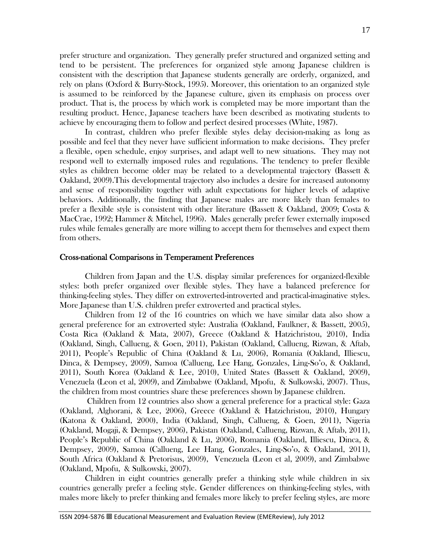prefer structure and organization. They generally prefer structured and organized setting and tend to be persistent. The preferences for organized style among Japanese children is consistent with the description that Japanese students generally are orderly, organized, and rely on plans (Oxford & Burry-Stock, 1995). Moreover, this orientation to an organized style is assumed to be reinforced by the Japanese culture, given its emphasis on process over product. That is, the process by which work is completed may be more important than the resulting product. Hence, Japanese teachers have been described as motivating students to achieve by encouraging them to follow and perfect desired processes (White, 1987).

In contrast, children who prefer flexible styles delay decision-making as long as possible and feel that they never have sufficient information to make decisions. They prefer a flexible, open schedule, enjoy surprises, and adapt well to new situations. They may not respond well to externally imposed rules and regulations. The tendency to prefer flexible styles as children become older may be related to a developmental trajectory (Bassett & Oakland, 2009).This developmental trajectory also includes a desire for increased autonomy and sense of responsibility together with adult expectations for higher levels of adaptive behaviors. Additionally, the finding that Japanese males are more likely than females to prefer a flexible style is consistent with other literature (Bassett & Oakland, 2009; Costa & MacCrae, 1992; Hammer & Mitchel, 1996). Males generally prefer fewer externally imposed rules while females generally are more willing to accept them for themselves and expect them from others.

#### Cross-national Comparisons in Temperament Preferences

 Children from Japan and the U.S. display similar preferences for organized-flexible styles: both prefer organized over flexible styles. They have a balanced preference for thinking-feeling styles. They differ on extroverted-introverted and practical-imaginative styles. More Japanese than U.S. children prefer extroverted and practical styles.

Children from 12 of the 16 countries on which we have similar data also show a general preference for an extroverted style: Australia (Oakland, Faulkner, & Bassett, 2005), Costa Rica (Oakland & Mata, 2007), Greece (Oakland & Hatzichristou, 2010), India (Oakland, Singh, Callueng, & Goen, 2011), Pakistan (Oakland, Callueng, Rizwan, & Aftab, 2011), People's Republic of China (Oakland & Lu, 2006), Romania (Oakland, Illiescu, Dinca, & Dempsey, 2009), Samoa (Callueng, Lee Hang, Gonzales, Ling-So'o, & Oakland, 2011), South Korea (Oakland & Lee, 2010), United States (Bassett & Oakland, 2009), Venezuela (Leon et al, 2009), and Zimbabwe (Oakland, Mpofu, & Sulkowski, 2007). Thus, the children from most countries share these preferences shown by Japanese children.

 Children from 12 countries also show a general preference for a practical style: Gaza (Oakland, Alghorani, & Lee, 2006), Greece (Oakland & Hatzichristou, 2010), Hungary (Katona & Oakland, 2000), India (Oakland, Singh, Callueng, & Goen, 2011), Nigeria (Oakland, Mogaji, & Dempsey, 2006), Pakistan (Oakland, Callueng, Rizwan, & Aftab, 2011), People's Republic of China (Oakland & Lu, 2006), Romania (Oakland, Illiescu, Dinca, & Dempsey, 2009), Samoa (Callueng, Lee Hang, Gonzales, Ling-So'o, & Oakland, 2011), South Africa (Oakland & Pretorisus, 2009), Venezuela (Leon et al, 2009), and Zimbabwe (Oakland, Mpofu, & Sulkowski, 2007).

Children in eight countries generally prefer a thinking style while children in six countries generally prefer a feeling style. Gender differences on thinking-feeling styles, with males more likely to prefer thinking and females more likely to prefer feeling styles, are more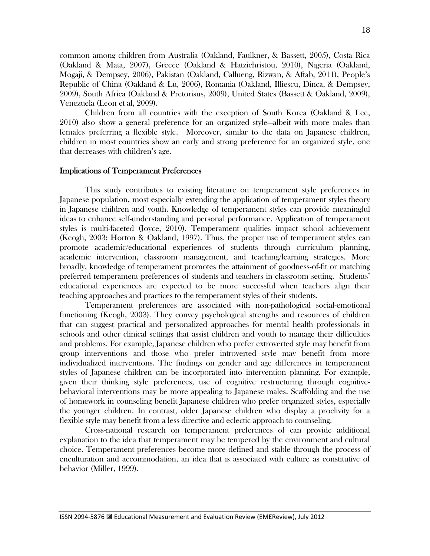common among children from Australia (Oakland, Faulkner, & Bassett, 2005), Costa Rica (Oakland & Mata, 2007), Greece (Oakland & Hatzichristou, 2010), Nigeria (Oakland, Mogaji, & Dempsey, 2006), Pakistan (Oakland, Callueng, Rizwan, & Aftab, 2011), People's Republic of China (Oakland & Lu, 2006), Romania (Oakland, Illiescu, Dinca, & Dempsey, 2009), South Africa (Oakland & Pretorisus, 2009), United States (Bassett & Oakland, 2009), Venezuela (Leon et al, 2009).

Children from all countries with the exception of South Korea (Oakland & Lee, 2010) also show a general preference for an organized style—albeit with more males than females preferring a flexible style. Moreover, similar to the data on Japanese children, children in most countries show an early and strong preference for an organized style, one that decreases with children's age.

#### Implications of Temperament Preferences

This study contributes to existing literature on temperament style preferences in Japanese population, most especially extending the application of temperament styles theory in Japanese children and youth. Knowledge of temperament styles can provide meaningful ideas to enhance self-understanding and personal performance. Application of temperament styles is multi-faceted (Joyce, 2010). Temperament qualities impact school achievement (Keogh, 2003; Horton & Oakland, 1997). Thus, the proper use of temperament styles can promote academic/educational experiences of students through curriculum planning, academic intervention, classroom management, and teaching/learning strategies. More broadly, knowledge of temperament promotes the attainment of goodness-of-fit or matching preferred temperament preferences of students and teachers in classroom setting. Students' educational experiences are expected to be more successful when teachers align their teaching approaches and practices to the temperament styles of their students.

Temperament preferences are associated with non-pathological social-emotional functioning (Keogh, 2003). They convey psychological strengths and resources of children that can suggest practical and personalized approaches for mental health professionals in schools and other clinical settings that assist children and youth to manage their difficulties and problems. For example, Japanese children who prefer extroverted style may benefit from group interventions and those who prefer introverted style may benefit from more individualized interventions. The findings on gender and age differences in temperament styles of Japanese children can be incorporated into intervention planning. For example, given their thinking style preferences, use of cognitive restructuring through cognitivebehavioral interventions may be more appealing to Japanese males. Scaffolding and the use of homework in counseling benefit Japanese children who prefer organized styles, especially the younger children. In contrast, older Japanese children who display a proclivity for a flexible style may benefit from a less directive and eclectic approach to counseling.

Cross-national research on temperament preferences of can provide additional explanation to the idea that temperament may be tempered by the environment and cultural choice. Temperament preferences become more defined and stable through the process of enculturation and accommodation, an idea that is associated with culture as constitutive of behavior (Miller, 1999).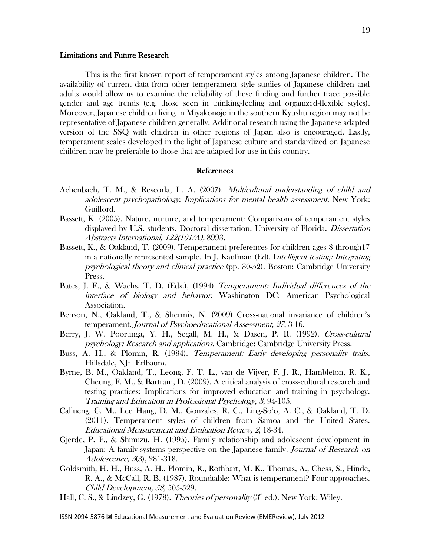# Limitations and Future Research

 This is the first known report of temperament styles among Japanese children. The availability of current data from other temperament style studies of Japanese children and adults would allow us to examine the reliability of these finding and further trace possible gender and age trends (e.g. those seen in thinking-feeling and organized-flexible styles). Moreover, Japanese children living in Miyakonojo in the southern Kyushu region may not be representative of Japanese children generally. Additional research using the Japanese adapted version of the SSQ with children in other regions of Japan also is encouraged. Lastly, temperament scales developed in the light of Japanese culture and standardized on Japanese children may be preferable to those that are adapted for use in this country.

## References

- Achenbach, T. M., & Rescorla, L. A. (2007). Multicultural understanding of child and adolescent psychopathology: Implications for mental health assessment. New York: Guilford.
- Bassett, K. (2005). Nature, nurture, and temperament: Comparisons of temperament styles displayed by U.S. students. Doctoral dissertation, University of Florida. Dissertation Abstracts International, 122(101/A), 8993.
- Bassett, K., & Oakland, T. (2009). Temperament preferences for children ages 8 through17 in a nationally represented sample. In J. Kaufman (Ed). Intelligent testing: Integrating psychological theory and clinical practice (pp. 30-52). Boston: Cambridge University Press.
- Bates, J. E., & Wachs, T. D. (Eds.), (1994) Temperament: Individual differences of the interface of biology and behavior. Washington DC: American Psychological Association.
- Benson, N., Oakland, T., & Shermis, N. (2009) Cross-national invariance of children's temperament. Journal of Psychoeducational Assessment, <sup>27</sup>, 3-16.
- Berry, J. W. Poortinga, Y. H., Segall, M. H., & Dasen, P. R. (1992). Cross-cultural psychology: Research and applications. Cambridge: Cambridge University Press.
- Buss, A. H., & Plomin, R. (1984). Temperament: Early developing personality traits. Hillsdale, NJ: Erlbaum.
- Byrne, B. M., Oakland, T., Leong, F. T. L., van de Vijver, F. J. R., Hambleton, R. K., Cheung, F. M., & Bartram, D. (2009). A critical analysis of cross-cultural research and testing practices: Implications for improved education and training in psychology. Training and Education in Professional Psychology, <sup>3</sup>, 94-105.
- Callueng, C. M., Lee Hang, D. M., Gonzales, R. C., Ling-So'o, A. C., & Oakland, T. D. (2011). Temperament styles of children from Samoa and the United States. Educational Measurement and Evaluation Review, 2, 18-34.
- Gjerde, P. F., & Shimizu, H. (1995). Family relationship and adolescent development in Japan: A family-systems perspective on the Japanese family. Journal of Research on Adolescence, <sup>5</sup>(3), 281-318.
- Goldsmith, H. H., Buss, A. H., Plomin, R., Rothbart, M. K., Thomas, A., Chess, S., Hinde, R. A., & McCall, R. B. (1987). Roundtable: What is temperament? Four approaches. Child Development, 58, 505-529.
- Hall, C. S., & Lindzey, G. (1978). *Theories of personality* ( $3<sup>rd</sup>$  ed.). New York: Wiley.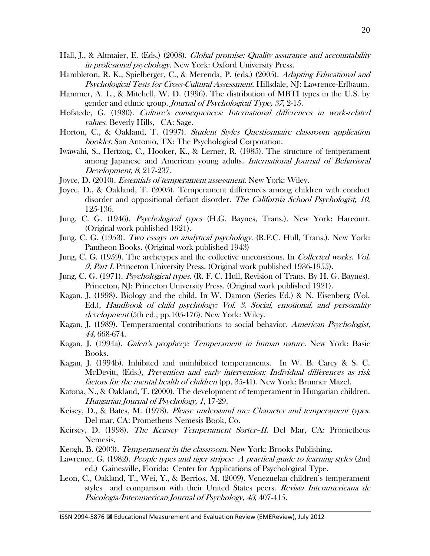- Hall, J., & Altmaier, E. (Eds.) (2008). *Global promise: Quality assurance and accountability* in profesional psychology. New York: Oxford University Press.
- Hambleton, R. K., Spielberger, C., & Merenda, P. (eds.) (2005). Adapting Educational and Psychological Tests for Cross-Cultural Assessment. Hillsdale, NJ: Lawrence-Erlbaum.
- Hammer, A. L., & Mitchell, W. D. (1996). The distribution of MBTI types in the U.S. by gender and ethnic group. Journal of Psychological Type, 37, 2-15.
- Hofstede, G. (1980). Culture's consequences: International differences in work-related values. Beverly Hills, CA: Sage.
- Horton, C., & Oakland, T. (1997). Student Styles Questionnaire classroom application booklet. San Antonio, TX: The Psychological Corporation.
- Iwawahi, S., Hertzog, C., Hooker, K., & Lerner, R. (1985). The structure of temperament among Japanese and American young adults. International Journal of Behavioral Development, 8, 217-237.
- Joyce, D. (2010). Essentials of temperament assessment. New York: Wiley.
- Joyce, D., & Oakland, T. (2005). Temperament differences among children with conduct disorder and oppositional defiant disorder. The California School Psychologist, 10, 125-136.
- Jung, C. G. (1946). Psychological types (H.G. Baynes, Trans.). New York: Harcourt. (Original work published 1921).
- Jung, C. G. (1953). Two essays on analytical psychology. (R.F.C. Hull, Trans.). New York: Pantheon Books. (Original work published 1943)
- Jung, C. G. (1959). The archetypes and the collective unconscious. In Collected works. Vol. 9, Part I. Princeton University Press. (Original work published 1936-1955).
- Jung, C. G. (1971). *Psychological types.* (R. F. C. Hull, Revision of Trans. By H. G. Baynes). Princeton, NJ: Princeton University Press. (Original work published 1921).
- Kagan, J. (1998). Biology and the child. In W. Damon (Series Ed.) & N. Eisenberg (Vol. Ed.), Handbook of child psychology: Vol. 3. Social, emotional, and personality development (5th ed., pp.105-176). New York: Wiley.
- Kagan, J. (1989). Temperamental contributions to social behavior. American Psychologist, 44, 668-674.
- Kagan, J. (1994a). Galen's prophecy: Temperament in human nature. New York: Basic Books.
- Kagan, J. (1994b). Inhibited and uninhibited temperaments. In W. B. Carey & S. C. McDevitt, (Eds.), Prevention and early intervention: Individual differences as risk factors for the mental health of children (pp. 35-41). New York: Brunner Mazel.
- Katona, N., & Oakland, T. (2000). The development of temperament in Hungarian children. Hungarian Journal of Psychology, 1, 17-29.
- Keisey, D., & Bates, M. (1978). Please understand me: Character and temperament types. Del mar, CA: Prometheus Nemesis Book, Co.
- Keirsey, D. (1998). The Keirsey Temperament Sorter-II. Del Mar, CA: Prometheus Nemesis.
- Keogh, B. (2003). Temperament in the classroom. New York: Brooks Publishing.
- Lawrence, G. (1982). People types and tiger stripes: A practical guide to learning styles (2nd ed.) Gainesville, Florida: Center for Applications of Psychological Type.
- Leon, C., Oakland, T., Wei, Y., & Berrios, M. (2009). Venezuelan children's temperament styles and comparison with their United States peers. Revista Interamericana de Psicología/Interamerican Journal of Psychology, 43, 407-415.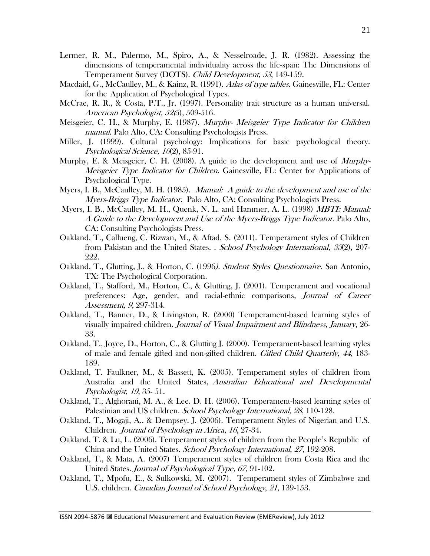- Lermer, R. M., Palermo, M., Spiro, A., & Nesselroade, J. R. (1982). Assessing the dimensions of temperamental individuality across the life-span: The Dimensions of Temperament Survey (DOTS). Child Development, 53, 149-159.
- Macdaid, G., McCaulley, M., & Kainz, R. (1991). Atlas of type tables. Gainesville, FL: Center for the Application of Psychological Types.
- McCrae, R. R., & Costa, P.T., Jr. (1997). Personality trait structure as a human universal. American Psychologist, 52(5), 509-516.
- Meisgeier, C. H., & Murphy, E. (1987). Murphy- Meisgeier Type Indicator for Children manual. Palo Alto, CA: Consulting Psychologists Press.
- Miller, J. (1999). Cultural psychology: Implications for basic psychological theory. Psychological Science, 10(2), 85-91.
- Murphy, E. & Meisgeier, C. H. (2008). A guide to the development and use of *Murphy*-Meisgeier Type Indicator for Children. Gainesville, FL: Center for Applications of Psychological Type.
- Myers, I. B., McCaulley, M. H. (1985). *Manual: A guide to the development and use of the* Myers-Briggs Type Indicator. Palo Alto, CA: Consulting Psychologists Press.
- Myers, I. B., McCaulley, M. H., Quenk, N. L. and Hammer, A. L. (1998) *MBTI: Manual:* A Guide to the Development and Use of the Myers-Briggs Type Indicator. Palo Alto, CA: Consulting Psychologists Press.
- Oakland, T., Callueng, C. Rizwan, M., & Aftad, S. (2011). Temperament styles of Children from Pakistan and the United States. . School Psychology International, 33(2), 207- 222.
- Oakland, T., Glutting, J., & Horton, C. (1996). Student Styles Questionnaire. San Antonio, TX: The Psychological Corporation.
- Oakland, T., Stafford, M., Horton, C., & Glutting, J. (2001). Temperament and vocational preferences: Age, gender, and racial-ethnic comparisons, Journal of Career Assessment, 9, 297-314.
- Oakland, T., Banner, D., & Livingston, R. (2000) Temperament-based learning styles of visually impaired children. Journal of Visual Impairment and Blindness, January, 26- 33.
- Oakland, T., Joyce, D., Horton, C., & Glutting J. (2000). Temperament-based learning styles of male and female gifted and non-gifted children. Gifted Child Quarterly, <sup>44</sup>, 183- 189.
- Oakland, T. Faulkner, M., & Bassett, K. (2005). Temperament styles of children from Australia and the United States, Australian Educational and Developmental Psychologist, 19, 35- 51.
- Oakland, T., Alghorani, M. A., & Lee. D. H. (2006). Temperament-based learning styles of Palestinian and US children. School Psychology International, 28, 110-128.
- Oakland, T., Mogaji, A., & Dempsey, J. (2006). Temperament Styles of Nigerian and U.S. Children. Journal of Psychology in Africa, 16, 27-34.
- Oakland, T. & Lu, L. (2006). Temperament styles of children from the People's Republic of China and the United States. School Psychology International, 27, 192-208.
- Oakland, T., & Mata, A. (2007) Temperament styles of children from Costa Rica and the United States. Journal of Psychological Type, 67, 91-102.
- Oakland, T., Mpofu, E., & Sulkowski, M. (2007). Temperament styles of Zimbabwe and U.S. children. Canadian Journal of School Psychology, 21, 139-153.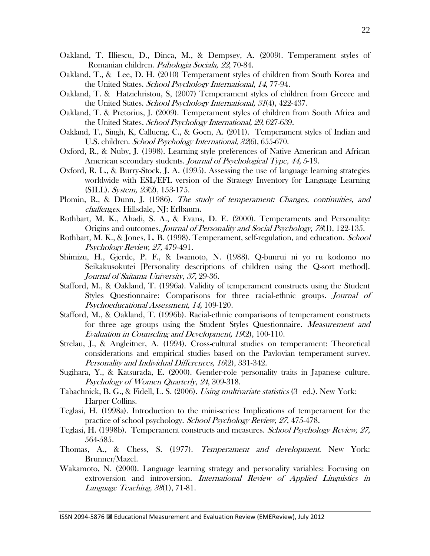- Oakland, T. Illiescu, D., Dinca, M., & Dempsey, A. (2009). Temperament styles of Romanian children. Psihologia Sociala, <sup>22</sup>, 70-84.
- Oakland, T., & Lee, D. H. (2010) Temperament styles of children from South Korea and the United States. School Psychology International, 14, 77-94.
- Oakland, T. & Hatzichristou, S, (2007) Temperament styles of children from Greece and the United States. School Psychology International, 31(4), 422-437.
- Oakland, T. & Pretorius, J. (2009). Temperament styles of children from South Africa and the United States. School Psychology International, <sup>29</sup>, 627-639.
- Oakland, T., Singh, K, Callueng, C., & Goen, A. (2011). Temperament styles of Indian and U.S. children. School Psychology International, <sup>32</sup>(6), 655-670.
- Oxford, R., & Nuby, J. (1998). Learning style preferences of Native American and African American secondary students. *Journal of Psychological Type, 44, 5*-19.
- Oxford, R. L., & Burry-Stock, J. A. (1995). Assessing the use of language learning strategies worldwide with ESL/EFL version of the Strategy Inventory for Language Learning (SILL). System, <sup>23</sup>(2), 153-175.
- Plomin, R., & Dunn, J. (1986). The study of temperament: Changes, continuities, and challenges. Hillsdale, NJ: Erlbaum.
- Rothbart, M. K., Ahadi, S. A., & Evans, D. E. (2000). Temperaments and Personality: Origins and outcomes. Journal of Personality and Social Psychology, 78(1), 122-135.
- Rothbart, M. K., & Jones, L. B. (1998). Temperament, self-regulation, and education. *School* Psychology Review, 27, 479-491.
- Shimizu, H., Gjerde, P. F., & Iwamoto, N. (1988). Q-bunrui ni yo ru kodomo no Seikakusokutei [Personality descriptions of children using the Q-sort method]. Journal of Saitama University, 37, 29-36.
- Stafford, M., & Oakland, T. (1996a). Validity of temperament constructs using the Student Styles Questionnaire: Comparisons for three racial-ethnic groups. Journal of Psychoeducational Assessment, 14, 109-120.
- Stafford, M., & Oakland, T. (1996b). Racial-ethnic comparisons of temperament constructs for three age groups using the Student Styles Questionnaire. Measurement and Evaluation in Counseling and Development, 19(2), 100-110.
- Strelau, J., & Angleitner, A. (1994). Cross-cultural studies on temperament: Theoretical considerations and empirical studies based on the Pavlovian temperament survey. Personality and Individual Differences, 16(2), 331-342.
- Sugihara, Y., & Katsurada, E. (2000). Gender-role personality traits in Japanese culture. Psychology of Women Quarterly, 24, 309-318.
- Tabachnick, B. G., & Fidell, L. S. (2006). Using multivariate statistics  $(3<sup>nd</sup> ed.)$ . New York: Harper Collins.
- Teglasi, H. (1998a). Introduction to the mini-series: Implications of temperament for the practice of school psychology. School Psychology Review, 27, 475-478.
- Teglasi, H. (1998b). Temperament constructs and measures. School Psychology Review, 27, 564-585.
- Thomas, A., & Chess, S. (1977). Temperament and development. New York: Brunner/Mazel.
- Wakamoto, N. (2000). Language learning strategy and personality variables: Focusing on extroversion and introversion. International Review of Applied Linguistics in Language Teaching, 38(1), 71-81.